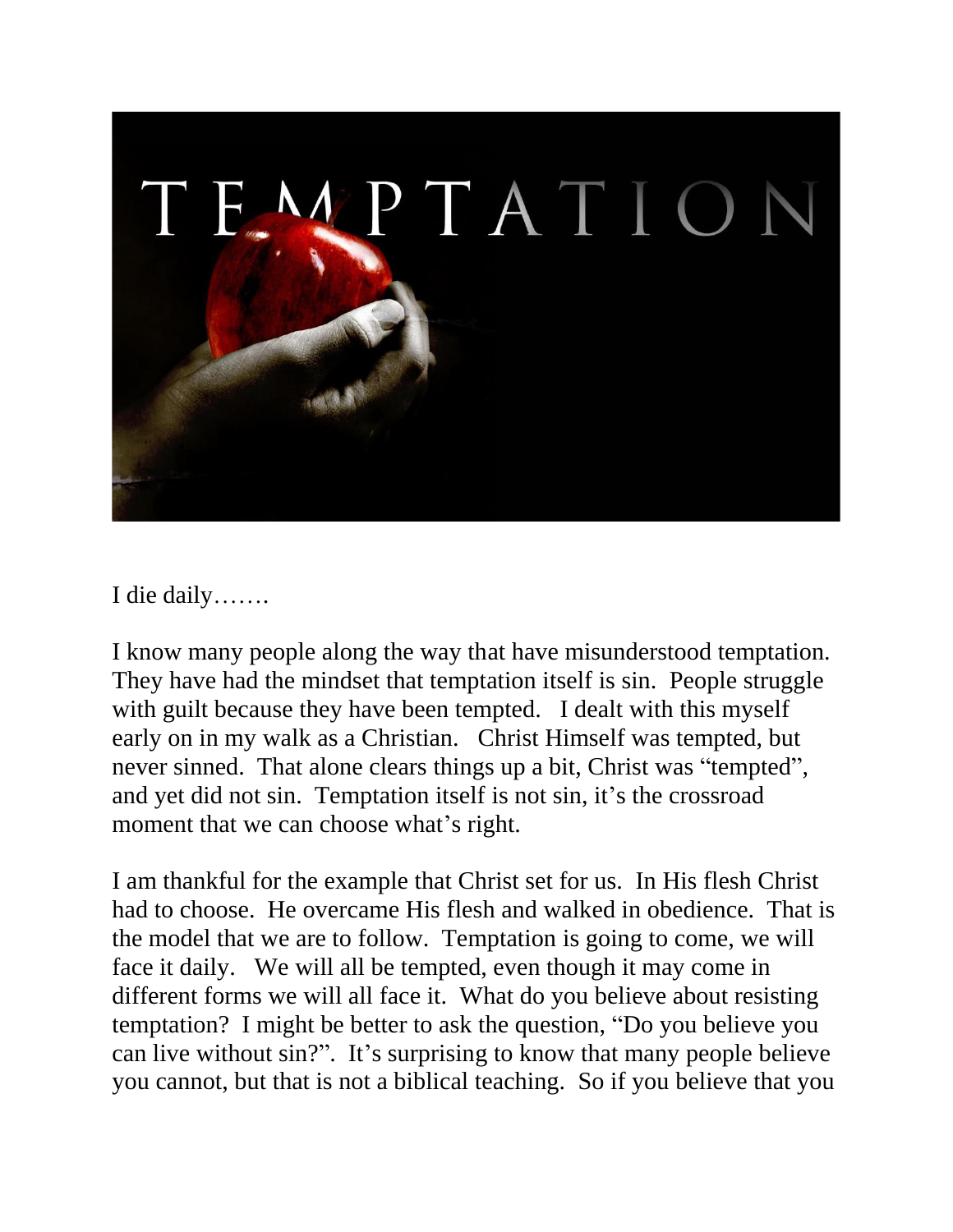

I die daily…….

I know many people along the way that have misunderstood temptation. They have had the mindset that temptation itself is sin. People struggle with guilt because they have been tempted. I dealt with this myself early on in my walk as a Christian. Christ Himself was tempted, but never sinned. That alone clears things up a bit, Christ was "tempted", and yet did not sin. Temptation itself is not sin, it's the crossroad moment that we can choose what's right.

I am thankful for the example that Christ set for us. In His flesh Christ had to choose. He overcame His flesh and walked in obedience. That is the model that we are to follow. Temptation is going to come, we will face it daily. We will all be tempted, even though it may come in different forms we will all face it. What do you believe about resisting temptation? I might be better to ask the question, "Do you believe you can live without sin?". It's surprising to know that many people believe you cannot, but that is not a biblical teaching. So if you believe that you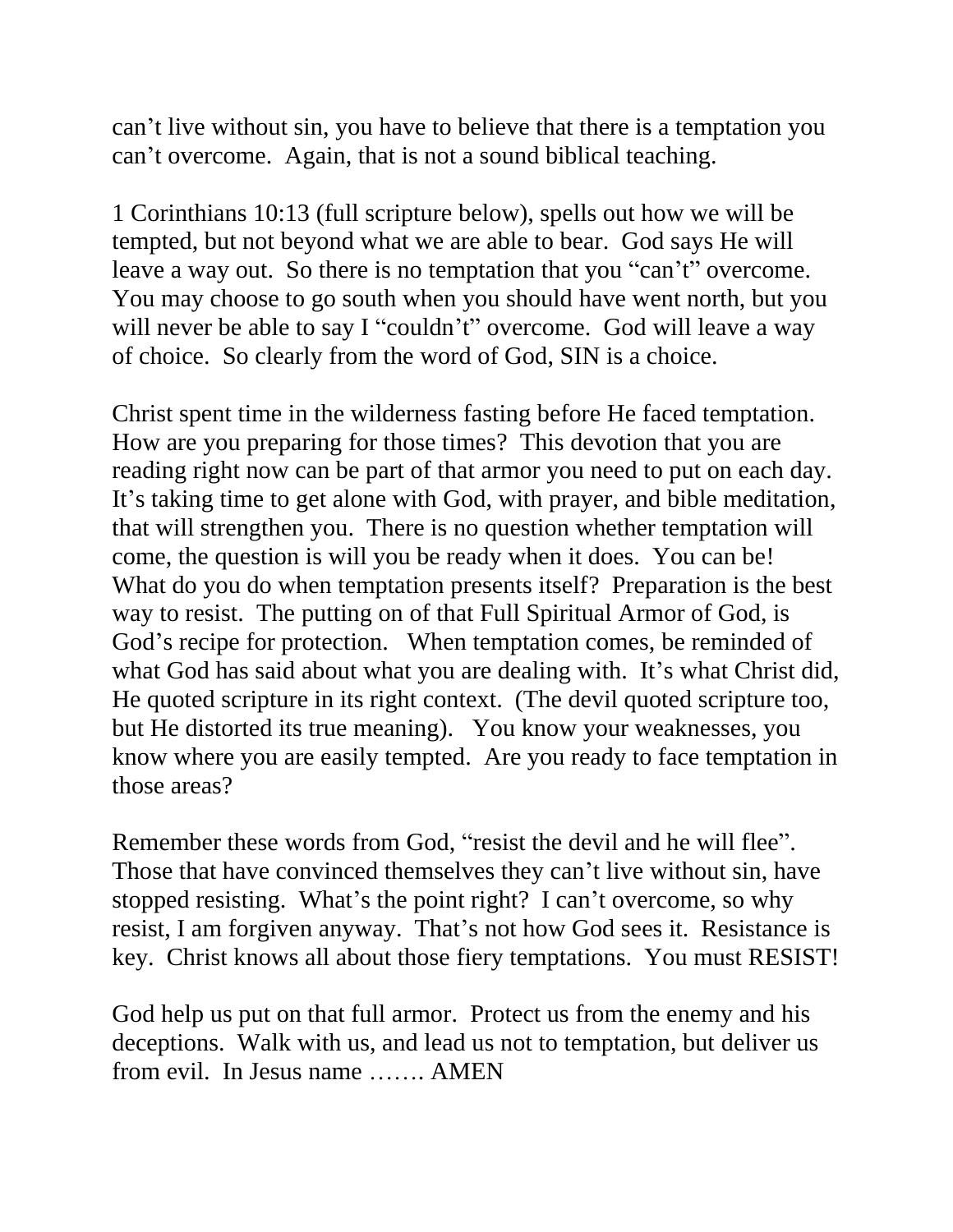can't live without sin, you have to believe that there is a temptation you can't overcome. Again, that is not a sound biblical teaching.

1 Corinthians 10:13 (full scripture below), spells out how we will be tempted, but not beyond what we are able to bear. God says He will leave a way out. So there is no temptation that you "can't" overcome. You may choose to go south when you should have went north, but you will never be able to say I "couldn't" overcome. God will leave a way of choice. So clearly from the word of God, SIN is a choice.

Christ spent time in the wilderness fasting before He faced temptation. How are you preparing for those times? This devotion that you are reading right now can be part of that armor you need to put on each day. It's taking time to get alone with God, with prayer, and bible meditation, that will strengthen you. There is no question whether temptation will come, the question is will you be ready when it does. You can be! What do you do when temptation presents itself? Preparation is the best way to resist. The putting on of that Full Spiritual Armor of God, is God's recipe for protection. When temptation comes, be reminded of what God has said about what you are dealing with. It's what Christ did, He quoted scripture in its right context. (The devil quoted scripture too, but He distorted its true meaning). You know your weaknesses, you know where you are easily tempted. Are you ready to face temptation in those areas?

Remember these words from God, "resist the devil and he will flee". Those that have convinced themselves they can't live without sin, have stopped resisting. What's the point right? I can't overcome, so why resist, I am forgiven anyway. That's not how God sees it. Resistance is key. Christ knows all about those fiery temptations. You must RESIST!

God help us put on that full armor. Protect us from the enemy and his deceptions. Walk with us, and lead us not to temptation, but deliver us from evil. In Jesus name ……. AMEN